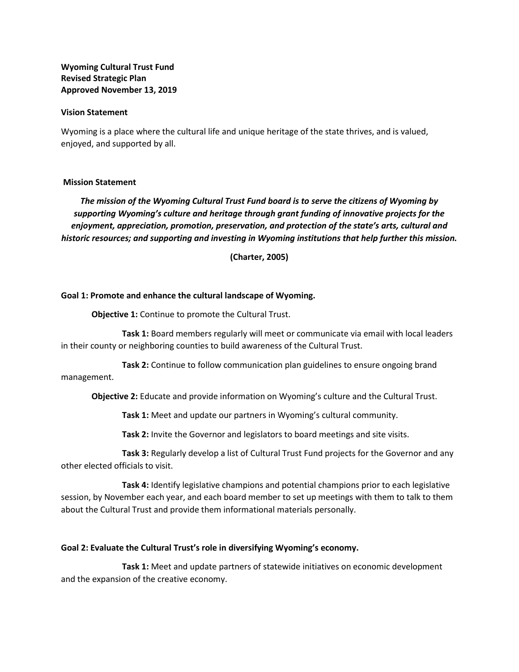**Wyoming Cultural Trust Fund Revised Strategic Plan Approved November 13, 2019**

#### **Vision Statement**

Wyoming is a place where the cultural life and unique heritage of the state thrives, and is valued, enjoyed, and supported by all.

### **Mission Statement**

*The mission of the Wyoming Cultural Trust Fund board is to serve the citizens of Wyoming by supporting Wyoming's culture and heritage through grant funding of innovative projects for the enjoyment, appreciation, promotion, preservation, and protection of the state's arts, cultural and historic resources; and supporting and investing in Wyoming institutions that help further this mission.*

**(Charter, 2005)**

#### **Goal 1: Promote and enhance the cultural landscape of Wyoming.**

**Objective 1:** Continue to promote the Cultural Trust.

**Task 1:** Board members regularly will meet or communicate via email with local leaders in their county or neighboring counties to build awareness of the Cultural Trust.

**Task 2:** Continue to follow communication plan guidelines to ensure ongoing brand management.

**Objective 2:** Educate and provide information on Wyoming's culture and the Cultural Trust.

**Task 1:** Meet and update our partners in Wyoming's cultural community.

**Task 2:** Invite the Governor and legislators to board meetings and site visits.

**Task 3:** Regularly develop a list of Cultural Trust Fund projects for the Governor and any other elected officials to visit.

**Task 4:** Identify legislative champions and potential champions prior to each legislative session, by November each year, and each board member to set up meetings with them to talk to them about the Cultural Trust and provide them informational materials personally.

### **Goal 2: Evaluate the Cultural Trust's role in diversifying Wyoming's economy.**

**Task 1:** Meet and update partners of statewide initiatives on economic development and the expansion of the creative economy.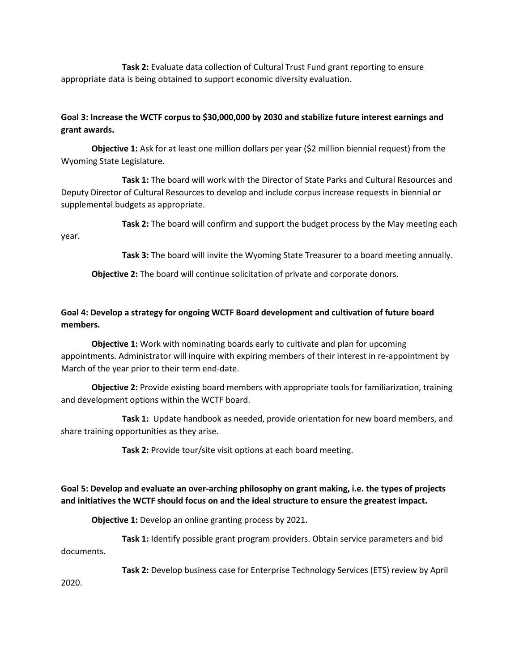**Task 2:** Evaluate data collection of Cultural Trust Fund grant reporting to ensure appropriate data is being obtained to support economic diversity evaluation.

## **Goal 3: Increase the WCTF corpus to \$30,000,000 by 2030 and stabilize future interest earnings and grant awards.**

**Objective 1:** Ask for at least one million dollars per year (\$2 million biennial request) from the Wyoming State Legislature.

**Task 1:** The board will work with the Director of State Parks and Cultural Resources and Deputy Director of Cultural Resources to develop and include corpus increase requests in biennial or supplemental budgets as appropriate.

**Task 2:** The board will confirm and support the budget process by the May meeting each year.

**Task 3:** The board will invite the Wyoming State Treasurer to a board meeting annually.

**Objective 2:** The board will continue solicitation of private and corporate donors.

## **Goal 4: Develop a strategy for ongoing WCTF Board development and cultivation of future board members.**

**Objective 1:** Work with nominating boards early to cultivate and plan for upcoming appointments. Administrator will inquire with expiring members of their interest in re-appointment by March of the year prior to their term end-date.

**Objective 2:** Provide existing board members with appropriate tools for familiarization, training and development options within the WCTF board.

**Task 1:** Update handbook as needed, provide orientation for new board members, and share training opportunities as they arise.

**Task 2:** Provide tour/site visit options at each board meeting.

# **Goal 5: Develop and evaluate an over-arching philosophy on grant making, i.e. the types of projects and initiatives the WCTF should focus on and the ideal structure to ensure the greatest impact.**

**Objective 1:** Develop an online granting process by 2021.

**Task 1:** Identify possible grant program providers. Obtain service parameters and bid documents.

**Task 2:** Develop business case for Enterprise Technology Services (ETS) review by April

2020.